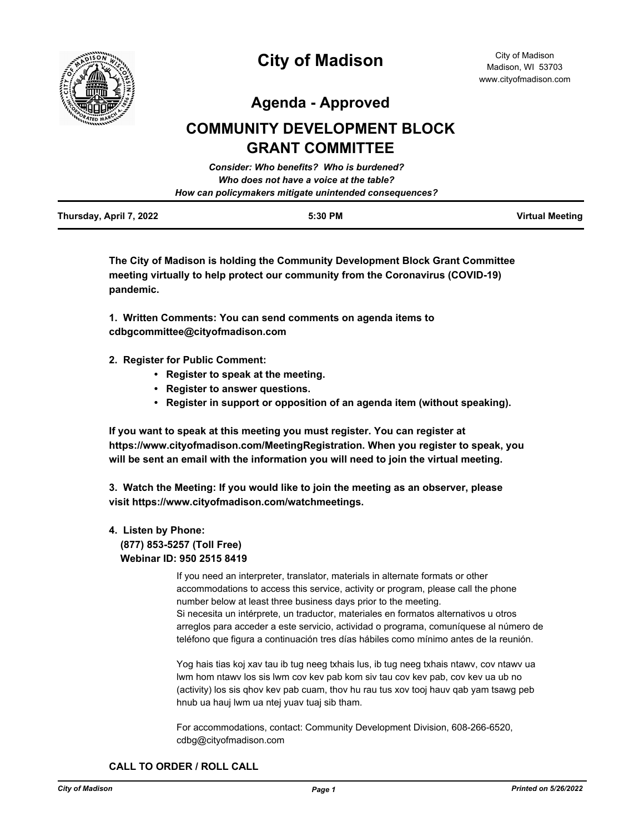

**Agenda - Approved**

# **COMMUNITY DEVELOPMENT BLOCK GRANT COMMITTEE**

|                         | <b>Consider: Who benefits? Who is burdened?</b>        |                        |
|-------------------------|--------------------------------------------------------|------------------------|
|                         | Who does not have a voice at the table?                |                        |
|                         | How can policymakers mitigate unintended consequences? |                        |
| Thursday, April 7, 2022 | 5:30 PM                                                | <b>Virtual Meeting</b> |

**The City of Madison is holding the Community Development Block Grant Committee meeting virtually to help protect our community from the Coronavirus (COVID-19) pandemic.**

**1. Written Comments: You can send comments on agenda items to cdbgcommittee@cityofmadison.com**

- **2. Register for Public Comment:** 
	- **Register to speak at the meeting.**
	- **Register to answer questions.**
	- **Register in support or opposition of an agenda item (without speaking).**

**If you want to speak at this meeting you must register. You can register at https://www.cityofmadison.com/MeetingRegistration. When you register to speak, you will be sent an email with the information you will need to join the virtual meeting.**

**3. Watch the Meeting: If you would like to join the meeting as an observer, please visit https://www.cityofmadison.com/watchmeetings.**

## **4. Listen by Phone: (877) 853-5257 (Toll Free) Webinar ID: 950 2515 8419**

If you need an interpreter, translator, materials in alternate formats or other accommodations to access this service, activity or program, please call the phone number below at least three business days prior to the meeting. Si necesita un intérprete, un traductor, materiales en formatos alternativos u otros arreglos para acceder a este servicio, actividad o programa, comuníquese al número de teléfono que figura a continuación tres días hábiles como mínimo antes de la reunión.

Yog hais tias koj xav tau ib tug neeg txhais lus, ib tug neeg txhais ntawv, cov ntawv ua lwm hom ntawv los sis lwm cov kev pab kom siv tau cov kev pab, cov kev ua ub no (activity) los sis qhov kev pab cuam, thov hu rau tus xov tooj hauv qab yam tsawg peb hnub ua hauj lwm ua ntej yuav tuaj sib tham.

For accommodations, contact: Community Development Division, 608-266-6520, cdbg@cityofmadison.com

**CALL TO ORDER / ROLL CALL**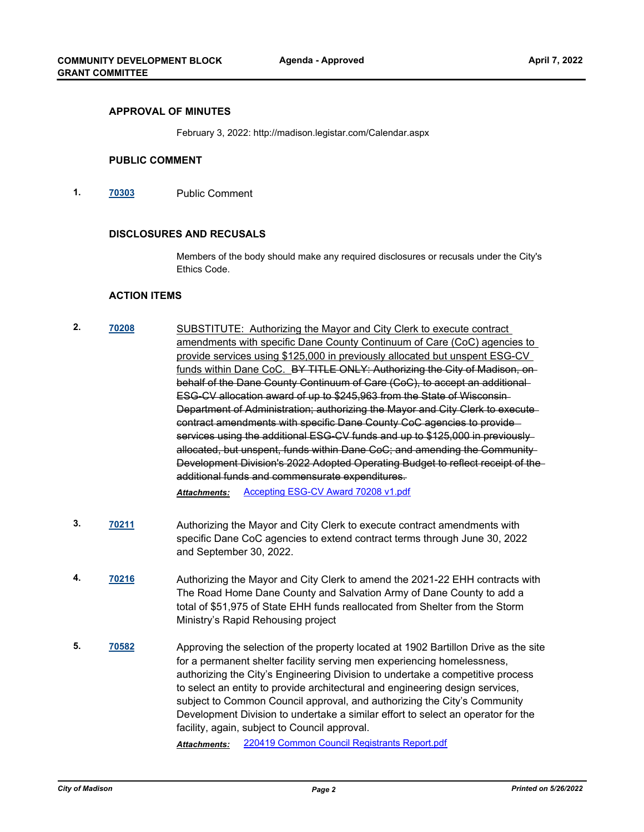#### **APPROVAL OF MINUTES**

February 3, 2022: http://madison.legistar.com/Calendar.aspx

#### **PUBLIC COMMENT**

**1. [70303](http://madison.legistar.com/gateway.aspx?m=l&id=/matter.aspx?key=81385)** Public Comment

#### **DISCLOSURES AND RECUSALS**

Members of the body should make any required disclosures or recusals under the City's Ethics Code.

### **ACTION ITEMS**

**2. [70208](http://madison.legistar.com/gateway.aspx?m=l&id=/matter.aspx?key=81330)** SUBSTITUTE: Authorizing the Mayor and City Clerk to execute contract amendments with specific Dane County Continuum of Care (CoC) agencies to provide services using \$125,000 in previously allocated but unspent ESG-CV funds within Dane CoC. BY TITLE ONLY: Authorizing the City of Madison, onbehalf of the Dane County Continuum of Care (CoC), to accept an additional ESG-CV allocation award of up to \$245,963 from the State of Wisconsin Department of Administration; authorizing the Mayor and City Clerk to execute contract amendments with specific Dane County CoC agencies to provide services using the additional ESG-CV funds and up to \$125,000 in previously allocated, but unspent, funds within Dane CoC; and amending the Community Development Division's 2022 Adopted Operating Budget to reflect receipt of the additional funds and commensurate expenditures.

*Attachments:* [Accepting ESG-CV Award 70208 v1.pdf](http://madison.legistar.com/gateway.aspx?M=F&ID=6181b987-5c73-4f71-92b2-ad94ef17f0e5.pdf)

- **3. [70211](http://madison.legistar.com/gateway.aspx?m=l&id=/matter.aspx?key=81333)** Authorizing the Mayor and City Clerk to execute contract amendments with specific Dane CoC agencies to extend contract terms through June 30, 2022 and September 30, 2022.
- **4. [70216](http://madison.legistar.com/gateway.aspx?m=l&id=/matter.aspx?key=81338)** Authorizing the Mayor and City Clerk to amend the 2021-22 EHH contracts with The Road Home Dane County and Salvation Army of Dane County to add a total of \$51,975 of State EHH funds reallocated from Shelter from the Storm Ministry's Rapid Rehousing project
- **5. [70582](http://madison.legistar.com/gateway.aspx?m=l&id=/matter.aspx?key=82613)** Approving the selection of the property located at 1902 Bartillon Drive as the site for a permanent shelter facility serving men experiencing homelessness, authorizing the City's Engineering Division to undertake a competitive process to select an entity to provide architectural and engineering design services, subject to Common Council approval, and authorizing the City's Community Development Division to undertake a similar effort to select an operator for the facility, again, subject to Council approval.

*Attachments:* [220419 Common Council Registrants Report.pdf](http://madison.legistar.com/gateway.aspx?M=F&ID=b7004d03-fa2e-447d-8328-9b8c0f9e2a17.pdf)